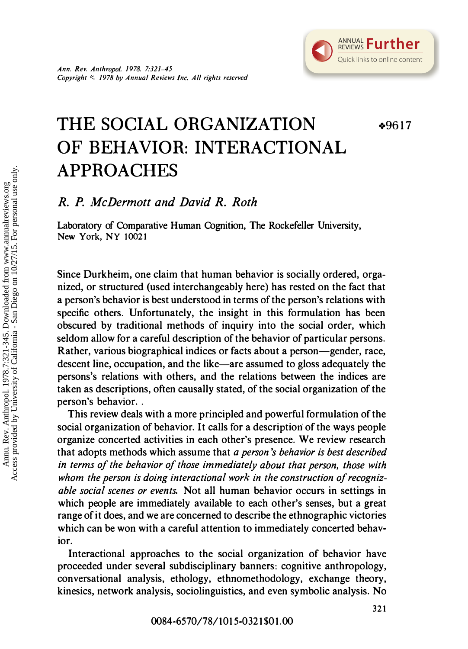# THE SOCIAL ORGANIZATION OF BEHAVIOR: INTERACTIONAL **APPROACHES**

+9617

## R. P. McDermott and David R. Roth

Laboratory of Comparative Human Cognition, The Rockefeller University, New York, NY 10021

Since Durkheim, one claim that human behavior is socially ordered, organized, or structured (used interchangeably here) has rested on the fact that a person's behavior is best understood in terms of the person's relations with specific others. Unfortunately, the insight in this formulation has been obscured by traditional methods of inquiry into the social order, which seldom allow for a careful description of the behavior of particular persons. Rather, various biographical indices or facts about a person—gender, race, descent line, occupation, and the like—are assumed to gloss adequately the persons's relations with others, and the relations between the indices are taken as descriptions, often causally stated, of the social organization of the person's behavior.

This review deals with a more principled and powerful formulation of the social organization of behavior. It calls for a description of the ways people organize concerted activities in each other's presence. We review research that adopts methods which assume that a person's behavior is best described in terms of the behavior of those immediately about that person, those with whom the person is doing interactional work in the construction of recognizable social scenes or events. Not all human behavior occurs in settings in which people are immediately available to each other's senses, but a great range of it does, and we are concerned to describe the ethnographic victories which can be won with a careful attention to immediately concerted behavior.

Interactional approaches to the social organization of behavior have proceeded under several subdisciplinary banners: cognitive anthropology, conversational analysis, ethology, ethnomethodology, exchange theory, kinesics, network analysis, sociolinguistics, and even symbolic analysis. No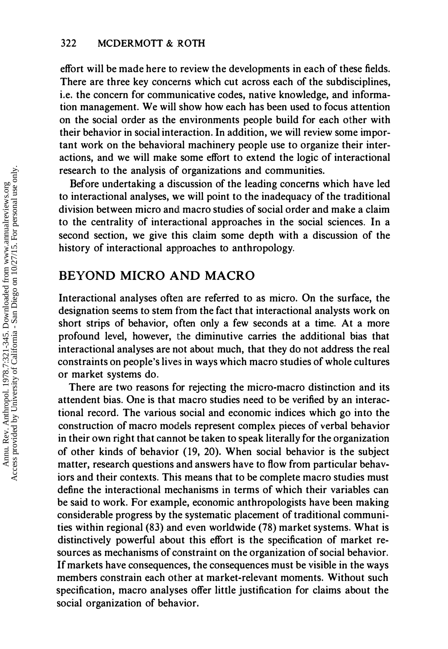effort will be made here to review the developments in each of these fields. There are three key concerns which cut across each of the subdisciplines, i.e. the concern for communicative codes, native knowledge, and information management. We will show how each has been used to focus attention on the social order as the environments people build for each other with their behavior in social interaction. In addition, we will review some important work on the behavioral machinery people use to organize their interactions, and we will make some effort to extend the logic of interactional research to the analysis of organizations and communities.

Before undertaking a discussion of the leading concerns which have led to interactional analyses, we will point to the inadequacy of the traditional division between micro and macro studies of social order and make a claim to the centrality of interactional approaches in the social sciences. In a second section, we give this claim some depth with a discussion of the history of interactional approaches to anthropology.

### BEYOND MICRO AND MACRO

Interactional analyses often are referred to as micro. On the surface, the designation seems to stem from the fact that interactional analysts work on short strips of behavior, often only a few seconds at a time. At a more profound level, however, the diminutive carries the additional bias that interactional analyses are not about much, that they do not address the real constraints on people's lives in ways which macro studies of whole cultures or market systems do.

There are two reasons for rejecting the micro-macro distinction and its attendent bias. One is that macro studies need to be verified by an interactional record. The various social and economic indices which go into the construction of macro models represent complex pieces of verbal behavior in their own right that cannot be taken to speak literally for the organization of other kinds of behavior (19, 20). When social behavior is the subject matter, research questions and answers have to flow from particular behaviors and their contexts. This means that to be complete macro studies must define the interactional mechanisms in terms of which their variables can be said to work. For example, economic anthropologists have been making considerable progress by the systematic placement of traditional communities within regional (83) and even worldwide (78) market systems. What is distinctively powerful about this effort is the specification of market resources as mechanisms of constraint on the organization of social behavior. If markets have consequences, the consequences must be visible in the ways members constrain each other at market-relevant moments. Without such specification, macro analyses offer little justification for claims about the social organization of behavior.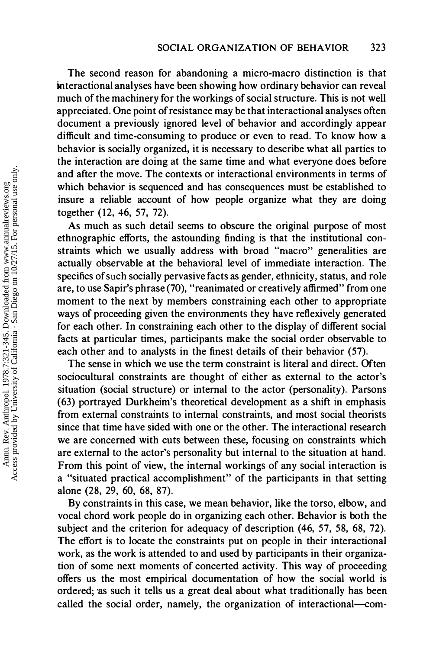The second reason for abandoning a micro-macro distinction is that interactional analyses have been showing how ordinary behavior can reveal much of the machinery for the workings of social structure. This is not well appreciated. One point of resistance may be that interactional analyses often document a previously ignored level of behavior and accordingly appear difficult and time-consuming to produce or even to read. To know how a behavior is socially organized, it is necessary to describe what all parties to the interaction are doing at the same time and what everyone does before and after the move. The contexts or interactional environments in terms of which behavior is sequenced and has consequences must be established to insure a reliable account of how people organize what they are doing together (12, 46, 57, 72).

As much as such detail seems to obscure the original purpose of most ethnographic efforts, the astounding finding is that the institutional constraints which we usually address with broad "macro" generalities are actually observable at the behavioral level of immediate interaction. The specifics of such socially pervasive facts as gender, ethnicity, status, and role are, to use Sapir's phrase (70), "reanimated or creatively affirmed" from one moment to the next by members constraining each other to appropriate ways of proceeding given the environments they have reflexively generated for each other. In constraining each other to the display of different social facts at particular times, participants make the social order observable to each other and to analysts in the finest details of their behavior (57).

The sense in which we use the term constraint is literal and direct. Often sociocultural constraints are thought of either as external to the actor's situation (social structure) or internal to the actor (personality). Parsons (63) portrayed Durkheim's theoretical development as a shift in emphasis from external constraints to internal constraints, and most social theorists since that time have sided with one or the other. The interactional research we are concerned with cuts between these, focusing on constraints which are external to the actor's personality but internal to the situation at hand. From this point of view, the internal workings of any social interaction is a "situated practical accomplishment" of the participants in that setting alone (28, 29, 60, 68, 87).

By constraints in this case, we mean behavior, like the torso, elbow, and vocal chord work people do in organizing each other. Behavior is both the subject and the criterion for adequacy of description (46, 57, 58, 68, 72). The effort is to locate the constraints put on people in their interactional work, as the work is attended to and used by participants in their organization of some next moments of concerted activity. This way of proceeding offers us the most empirical documentation of how the social world is ordered; as such it tells us a great deal about what traditionally has been called the social order, namely, the organization of interactional--com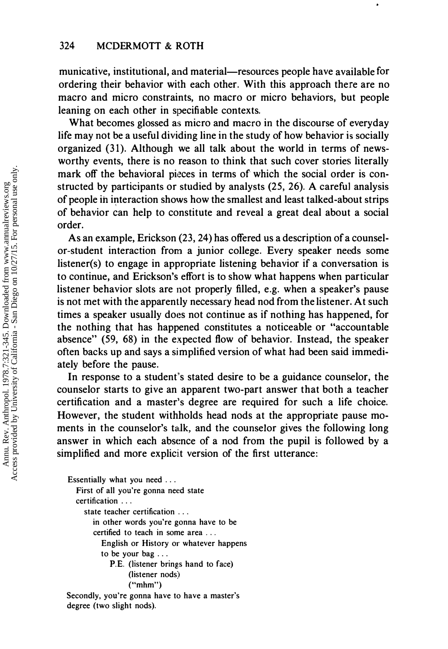municative, institutional, and material—resources people have available for ordering their behavior with each other. With this approach there are no macro and micro constraints, no macro or micro behaviors, but people leaning on each other in specifiable contexts.

What becomes glossed as micro and macro in the discourse of everyday life may not be a useful dividing line in the study of how behavior is socially organized (31). Although we all talk about the world in terms of newsworthy events, there is no reason to think that such cover stories literally mark off the behavioral pieces in terms of which the social order is constructed by participants or studied by analysts (25, 26). A careful analysis of people in interaction shows how the smallest and least talked-about strips of behavior can help to constitute and reveal a great deal about a social order.

As an example, Erickson (23, 24) has offered us a description of a counselor-student interaction from a junior college. Every speaker needs some listener(s) to engage in appropriate listening behavior if a conversation is to continue, and Erickson's effort is to show what happens when particular listener behavior slots are not properly filled, e.g. when a speaker's pause is not met with the apparently necessary head nod from the listener. At such times a speaker usually does not continue as if nothing has happened, for the nothing that has happened constitutes a noticeable or "accountable absence" (59, 68) in the expected flow of behavior. Instead, the speaker often backs up and says a simplified version of what had been said immediately before the pause.

In response to a student"s stated desire to be a guidance counselor, the counselor starts to give an apparent two-part answer that both a teacher certification and a master"s degree are required for such a life choice. However, the student withholds head nods at the appropriate pause moments in the counselor's talk, and the counselor gives the following long answer in which each absence of a nod from the pupil is followed by a simplified and more explicit version of the first utterance:

Essentially what you need . . . First of all you're gonna need state certification ... state teacher certification ... in other words you're gonna have to be certified to teach in some area ... English or History or whatever happens to be your bag ... P.E. (listener brings hand to face) (listener nods) ("mhm") Secondly, you're gonna have to have a master's

degree (two slight nods).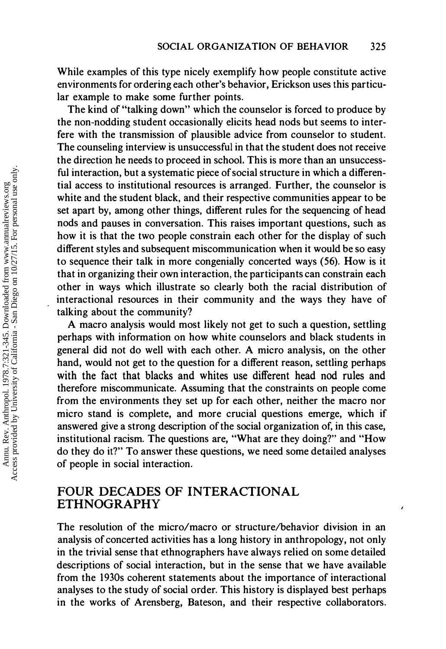While examples of this type nicely exemplify how people constitute active environments for ordering each other's behavior, Erickson uses this particular example to make some further points.

The kind of "talking down" which the counselor is forced to produce by the non-nodding student occasionally elicits head nods but seems to interfere with the transmission of plausible advice from counselor to student. The counseling interview is unsuccessful in that the student does not receive the direction he needs to proceed in school. This is more than an unsuccessful interaction, but a systematic piece of social structure in which a differential access to institutional resources is arranged. Further, the counselor is white and the student black, and their respective communities appear to be set apart by, among other things, different rules for the sequencing of head nods and pauses in conversation. This raises important questions, such as how it is that the two people constrain each other for the display of such different styles and subsequent miscommunication when it would be so easy to sequence their talk in more congenially concerted ways (56). How is it that in organizing their own interaction, the participants can constrain each other in ways which illustrate so clearly both the racial distribution of interactional resources in their community and the ways they have of talking about the community?

A macro analysis would most likely not get to such a question, settling perhaps with information on how white counselors and black students in general did not do well with each other. A micro analysis, on the other hand, would not get to the question for a different reason, settling perhaps with the fact that blacks and whites use different head nod rules and therefore miscommunicate. Assuming that the constraints on people come from the environments they set up for each other, neither the macro nor micro stand is complete, and more crucial questions emerge, which if answered give a strong description of the social organization of, in this case, institutional racism. The questions are, "What are they doing?" and "How do they do it?" To answer these questions, we need some detailed analyses of people in social interaction.

#### FOUR DECADES OF INTERACTIONAL ETHNOGRAPHY

The resolution of the micro/macro or structure/behavior division in an analysis of concerted activities has a long history in anthropology, not only in the trivial sense that ethnographers have always relied on some detailed descriptions of social interaction, but in the sense that we have available from the 1930s coherent statements about the importance of interactional analyses to the study of social order. This history is displayed best perhaps in the works of Arensberg, Bateson, and their respective collaborators.  $\lambda$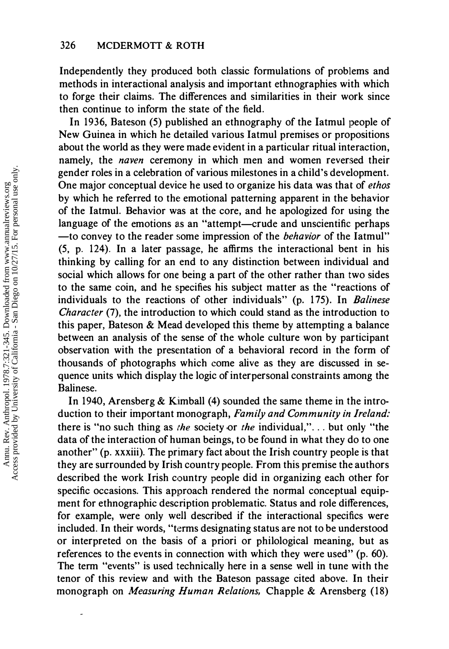Independently they produced both classic formulations of problems and methods in interactional analysis and important ethnographies with which to forge their claims. The differences and similarities in their work since then continue to inform the state of the field.

In 1936, Bateson (5) published an ethnography of the Iatmul people of New Guinea in which he detailed various Iatmul premises or propositions about the world as they were made evident in a particular ritual interaction, namely, the *naven* ceremony in which men and women reversed their gender roles in a celebration of various milestones in a child's development. One major conceptual device he used to organize his data was that of ethos by which he referred to the emotional patterning apparent in the behavior of the Iatmul. Behavior was at the core, and he apologized for using the language of the emotions as an "attempt-crude and unscientific perhaps -to convey to the reader some impression of the *behavior* of the Iatmul" (5, p. 124). In a later passage, he affirms the interactional bent in his thinking by calling for an end to any distinction between individual and social which allows for one being a part of the other rather than two sides to the same coin, and he specifies his subject matter as the "reactions of individuals to the reactions of other individuals" (p. 175). In Balinese Character (7), the introduction to which could stand as the introduction to this paper, Bateson & Mead developed this theme by attempting a balance between an analysis of the sense of the whole culture won by participant observation with the presentation of a behavioral record in the form of thousands of photographs which come alive as they are discussed in sequence units which display the logic of interpersonal constraints among the Balinese.

In 1940, Arensberg & Kimball (4) sounded the same theme in the introduction to their important monograph, Family and Community in Ireland: there is "no such thing as the society or the individual,"... but only "the data of the interaction of human beings, to be found in what they do to one another" (p. xxxiii). The primary fact about the Irish country people is that they are surrounded by Irish country people. From this premise the authors described the work Irish country people did in organizing each other for specific occasions. This approach rendered the normal conceptual equipment for ethnographic description problematic. Status and role differences, for example, were only wdl described if the interactional specifics were included. In their words, "terms designating status are not to be understood or interpreted on the basis of a priori or philological meaning, but as references to the events in connection with which they were used" (p. 60). The term "events" is used technically here in a sense well in tune with the tenor of this review and with the Bateson passage cited above. In their monograph on *Measuring Human Relations*, Chapple & Arensberg (18)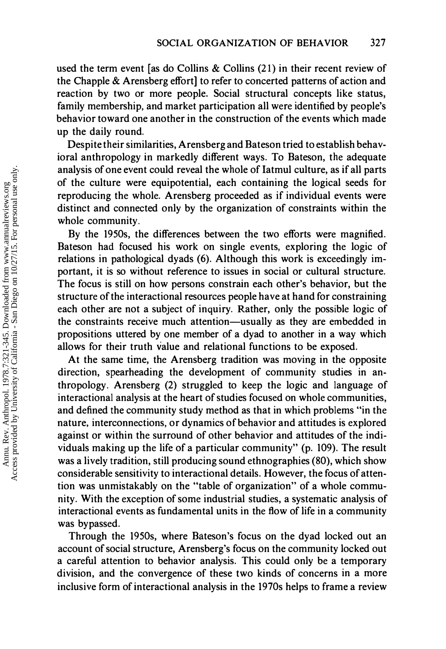used the term event [as do Collins & Collins (21) in their recent review of the Chapple & Arensberg effort] to refer to concerted patterns of action and reaction by two or more people. Social structural concepts like status, family membership, and market participation all were identified by people's behavior toward one another in the construction of the events which made up the daily round.

Despite their similarities, Arensberg and Bateson tried to establish behavioral anthropology in markedly different ways. To Bateson, the adequate analysis of one event could reveal the whole of Iatmul culture, as if all parts of the culture were equipotential, each containing the logical seeds for reproducing the whole. Arensberg proceeded as if individual events were distinct and connected only by the organization of constraints within the whole community.

By the 1950s, the differences between the two efforts were magnified. Bateson had focused his work on single events, exploring the logic of relations in pathological dyads (6). Although this work is exceedingly important, it is so without reference to issues in social or cultural structure. The focus is still on how persons constrain each other's behavior, but the structure of the interactional resources people have at hand for constraining each other are not a subject of inquiry. Rather, only the possible logic of the constraints receive much attention—usually as they are embedded in propositions uttered by one member of a dyad to another in a way which allows for their truth value and relational functions to be exposed.

At the same time, the Arensberg tradition was moving in the opposite direction, spearheading the development of community studies in anthropology. Arensberg (2) struggled to keep the logic and language of interactional analysis at the heart of studies focused on whole communities, and defined the community study method as that in which problems "in the nature, interconnections, or dynamics of behavior and attitudes is explored against or within the surround of other behavior and attitudes of the individuals making up the life of a particular community" (p. 109). The result was a lively tradition, still producing sound ethnographies (80), which show considerable sensitivity to interactional details. However, the focus of attention was unmistakably on the "table of organization" of a whole community. With the exception of some industrial studies, a systematic analysis of interactional events as fundamental units in the flow of life in a community was bypassed.

Through the 1950s, where Bateson's focus on the dyad locked out an account of social structure, Arensberg's focus on the community locked out a careful attention to behavior analysis. This could only be a temporary division, and the convergence of these two kinds of concerns in a more inclusive form of interactional analysis in the 1970s helps to frame a review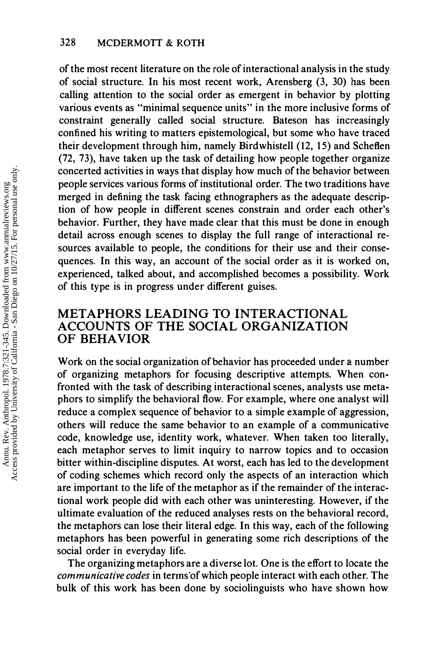of the most recent literature on the role of interactional analysis in the study of social structure. In his most recent work, Arensberg (3, 30) has been calling attention to the social order as emergent in behavior by plotting various events as "minimal sequence units" in the more inclusive forms of constraint generally called social structure. Bateson has increasingly confined his writing to matters epistemological, but some who have traced their development through him, namely Birdwhistell (12, 15) and Scheflen (72, 73), have taken up the task of detailing how people together organize concerted activities in ways that display how much of the behavior between people services various forms of institutional order. The two traditions have merged in defining the task facing ethnographers as the adequate description of how people in different scenes constrain and order each other's behavior. Further, they have made clear that this must be done in enough detail across enough scenes to display the full range of interactional resources available to people, the conditions for their use and their consequences. In this way, an account of the social order as it is worked on, experienced, talked about, and accomplished becomes a possibility. Work of this type is in progress under different guises.

#### METAPHORS LEADING TO INTERACTIONAL ACCOUNTS OF THE SOCIAL ORGANIZATION OF BEHAVIOR

Work on the social organization of behavior has proceeded under a number of organizing metaphors for focusing descriptive attempts. When confronted with the task of describing interactional scenes, analysts use metaphors to simplify the behavioral flow. For example, where one analyst will reduce a complex sequence of behavior to a simple example of aggression, others will reduce the same behavior to an example of a communicative code, knowledge use, identity work, whatever. When taken too literally, each metaphor serves to limit inquiry to narrow topics and to occasion bitter within-discipline disputes. At worst, each has led to the development of coding schemes which record only the aspects of an interaction which are important to the life of the metaphor as if the remainder of the interactional work people did with each other was uninteresting. However, if the ultimate evaluation of the reduced analyses rests on the behavioral record, the metaphors can lose their literal edge. In this way, each of the following metaphors has been powerful in generating some rich descriptions of the social order in everyday life.

The organizing metaphors are a diverse lot. One is the effort to locate the communicative codes in terms of which people interact with each other. The bulk of this work has been done by sociolinguists who have shown how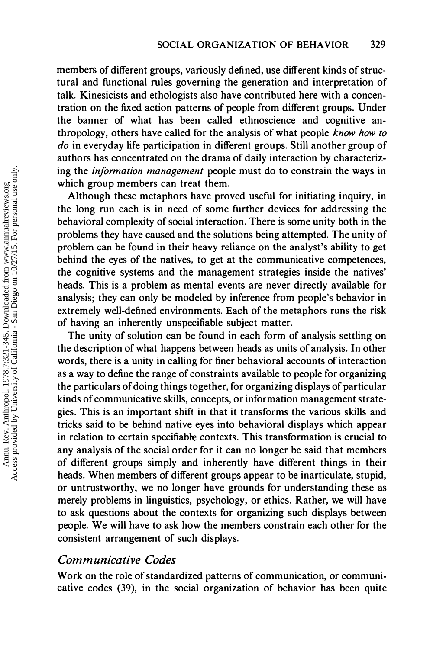members of different groups, variously defined, use different kinds of structural and functional rules governing the generation and interpretation of talk. Kinesicists and ethologists also have contributed here with a concentration on the fixed action patterns of people from different groups. Under the banner of what has been called ethnoscience and cognitive anthropology, others have called for the analysis of what people know how to do in everyday life participation in different groups. Still another group of authors has concentrated on the drama of daily interaction by characterizing the *information management* people must do to constrain the ways in which group members can treat them.

Although these metaphors have proved useful for initiating inquiry, in the long run each is in need of some further devices for addressing the behavioral complexity of social interaction. There is some unity both in the problems they have caused and the solutions being attempted. The unity of problem can be found in their heavy reliance on the analyst's ability to get behind the eyes of the natives, to get at the communicative competences, the cognitive systems and the management strategies inside the natives' heads. This is a problem as mental events are never directly available for analysis; they can only be modeled by inference from people's behavior in extremely well-defined environments. Each of the metaphors runs the risk of having an inherently unspecifiable subject matter.

The unity of solution can be found in each form of analysis settling on the description of what happens between heads as units of analysis. In other words, there is a unity in calling for finer behavioral accounts of interaction as a way to define the range of constraints available to people for organizing the particulars of doing things together, for organizing displays of particular kinds of communicative skills, concepts, or information management strategies. This is an important shift in that it transforms the various skills and tricks said to be behind native eyes into behavioral displays which appear in relation to certain specifiable contexts. This transformation is crucial to any analysis of the social order for it can no longer be said that members of different groups simply and inherently have different things in their heads. When members of different groups appear to be inarticulate, stupid, or untrustworthy, we no longer have grounds for understanding these as merely problems in linguistics, psychology, or ethics. Rather, we will have to ask questions about the contexts for organizing such displays between people. We will have to ask how the members constrain each other for the consistent arrangement of such displays.

#### Communicative Codes

Work on the role of standardized patterns of communication, or communicative codes (39), in the social organization of behavior has been quite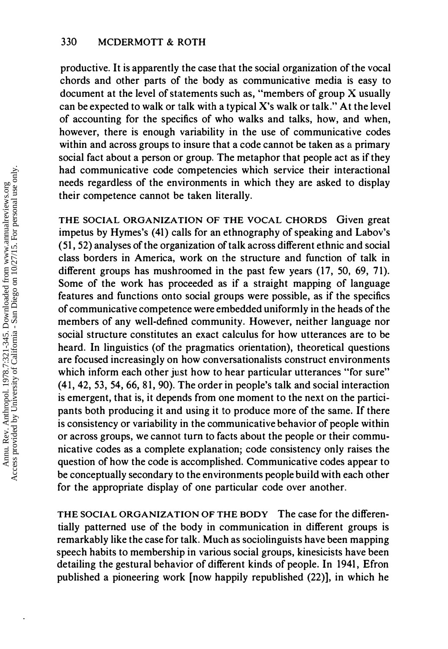productive. It is apparently the case that the social organization of the vocal chords and other parts of the body as communicative media is easy to document at the level of statements such as, "members of group X usually can be expected to walk or talk with a typical  $X$ 's walk or talk." At the level of accounting for the specifics of who walks and talks, how, and when, however, there is enough variability in the use of communicative codes within and across groups to insure that a code cannot be taken as a primary social fact about a person or group. The metaphor that people act as if they had communicative code competencies which service their interactional needs regardless of the environments in which they are asked to display their competence cannot be taken literally.

THE SOCIAL ORGANIZATION OF THE VOCAL CHORDS Given great impetus by Hymes's (41) calls for an ethnography of speaking and Labov's (51, 52) analyses of the organization of talk across different ethnic and social class borders in America, work on the structure and function of talk in different groups has mushroomed in the past few years (17, 50, 69, 71). Some of the work has proceeded as if a straight mapping of language features and functions onto social groups were possible, as if the specifics of communicative competence were embedded uniformly in the heads of the members of any well-defined community. However, neither language nor social structure constitutes an exact calculus for how utterances are to be heard. In linguistics (of the pragmatics orientation), theoretical questions are focused increasingly on how conversationalists construct environments which inform each other just how to hear particular utterances "for sure" (41, 42, 53, 54, 66, 8 1, 90). The order in people's talk and social interaction is emergent, that is, it depends from one moment to the next on the participants both producing it and using it to produce more of the same. If there is consistency or variability in the communicative behavior of people within or across groups, we cannot turn to facts about the people or their communicative codes as a complete explanation; code consistency only raises the question of how the code is accomplished. Communicative codes appear to be conceptually secondary to the environments people build with each other for the appropriate display of one particular code over another.

THE SOCIAL ORGANIZATION OF THE BODY The case for the differentially patterned use of the body in communication in different groups is remarkably like the case for talk. Much as sociolinguists have been mapping speech habits to membership in various social groups, kinesicists have been detailing the gestural behavior of different kinds of people. In 1941, Efron published a pioneering work [now happily republished (22)], in which he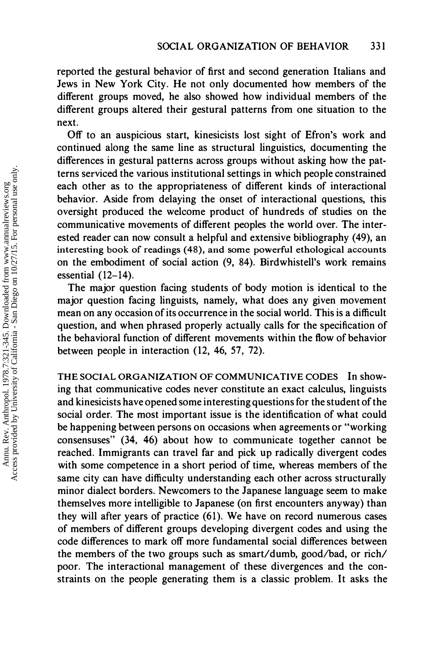reported the gestural behavior of first and second generation Italians and Jews in New York City. He not only documented how members of the different groups moved, he also showed how individual members of the different groups altered their gestural patterns from one situation to the next.

Off to an auspicious start, kinesicists lost sight of Efron's work and continued along the same line as structural linguistics, documenting the differences in gestural patterns across groups without asking how the patterns serviced the various institutional settings in which people constrained each other as to the appropriateness of different kinds of interactional behavior. Aside from delaying the onset of interactional questions, this oversight produced the welcome product of hundreds of studies on the communicative movements of different peoples the world over. The interested reader can now consult a helpful and extensive bibliography (49), an interesting book of readings (48), and some powerful ethological accounts on the embodiment of social action (9, 84). Birdwhistell's work remains essential (12-14).

The major question facing students of body motion is identical to the major question facing linguists, namely, what does any given movement mean on any occasion of its occurrence in the social world. This is a difficult question, and when phrased properly actually calls for the specification of the behavioral function of different movements within the flow of behavior between people in interaction (12, 46, 57, 72).

THE SOCIAL ORGANIZATION OF COMMUNICATIVE CODES In showing that communicative codes never constitute an exact calculus, linguists and kinesicists have opened some interesting questions for the student of the social order. The most important issue is the identification of what could be happening between persons on occasions when agreements or "working consensuses" (34, 46) about how to communicate together cannot be reached. Immigrants can travel far and pick up radically divergent codes with some competence in a short period of time, whereas members of the same city can have difficulty understanding each other across structurally minor dialect borders. Newcomers to the Japanese language seem to make themselves more intelligible to Japanese (on first encounters anyway) than they will after years of practice (61). We have on record numerous cases of members of different groups developing divergent codes and using the code differences to mark off more fundamental social differences between the members of the two groups such as smart/dumb, good/bad, or rich/ poor. The interactional management of these divergences and the constraints on the people generating them is a classic problem. It asks the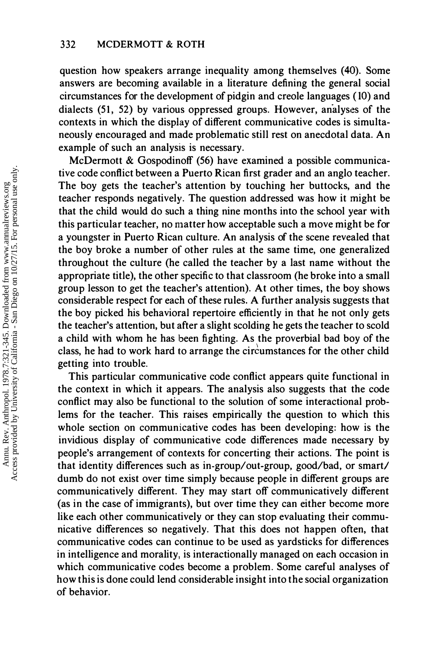question how speakers arrange inequality among themselves (40). Some answers are becoming available in a literature defining the general social circumstances for the development of pidgin and creole languages (10) and dialects (51, 52) by various oppressed groups. However, analyses of the contexts in which the display of different communicative codes is simultaneously encouraged and made problematic still rest on anecdotal data. An example of such an analysis is necessary.

McDermott & Gospodinoff (56) have examined a possible communicative code conflict between a Puerto Rican first grader and an anglo teacher. The boy gets the teacher's attention by touching her buttocks, and the teacher responds negatively. The question addressed was how it might be that the child would do such a thing nine months into the school year with this particular teacher, no matter how acceptable such a move might be for a youngster in Puerto Rican culture. An analysis of the scene revealed that the boy broke a number of other rules at the same time, one generalized throughout the culture (he called the teacher by a last name without the appropriate title), the other specific to that classroom (he broke into a small group lesson to get the teacher's attention). At other times, the boy shows considerable respect for each of these rules. A further analysis suggests that the boy picked his behavioral repertoire efficiently in that he not only gets the teacher's attention, but after a slight scolding he gets the teacher to scold a child with whom he has been fighting. As the proverbial bad boy of the class, he had to work hard to arrange the circumstances for the other child getting into trouble.

This particular communicative code conflict appears quite functional in the context in which it appears. The analysis also suggests that the code conflict may also be functional to the solution of some interactional problems for the teacher. This raises empirically the question to which this whole section on communicative codes has been developing: how is the invidious display of communicative code differences made necessary by people's arrangement of contexts for concerting their actions. The point is that identity differences such as in-group/out-group, good/bad, or smart/ dumb do not exist over time simply because people in different groups are communicatively different. They may start off communicatively different (as in the case of immigrants), but over time they can either become more like each other communicatively or they can stop evaluating their communicative differences so negatively. That this does not happen often, that communicative codes can continue to be used as yardsticks for differences in intelligence and morality, is interactionally managed on each occasion in which communicative codes become a problem. Some careful analyses of how this is done could lend considerable insight into the social organization of behavior.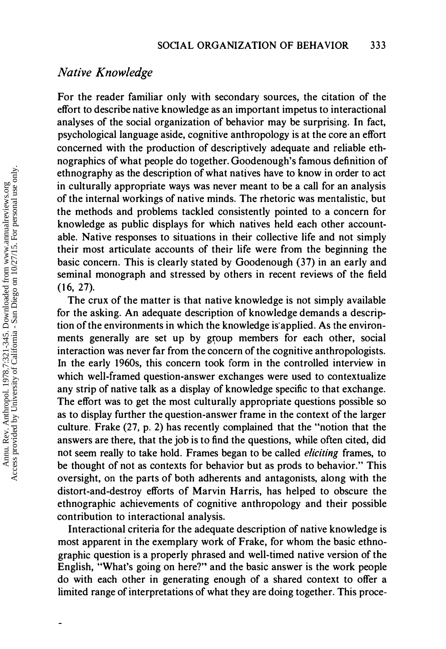### Native Knowledge

For the reader familiar only with secondary sources, the citation of the effort to describe native knowledge as an important impetus to interactional analyses of the social organization of behavior may be surprising. In fact, psychological language aside, cognitive anthropology is at the core an effort concerned with the production of descriptively adequate and reliable ethnographies of what people do together. Goodenough's famous definition of ethnography as the description of what natives have to know in order to act in culturally appropriate ways was never meant to be a call for an analysis of the internal workings of native minds. The rhetoric was mentalistic, but the methods and problems tackled consistently pointed to a concern for knowledge as public displays for which natives held each other accountable. Native responses to situations in their collective life and not simply their most articulate accounts of their life were from the beginning the basic concern. This is clearly stated by Goodenough (37) in an early and seminal monograph and stressed by others in recent reviews of the field (16, 27).

The crux of the matter is that native knowledge is not simply available for the asking. An adequate description of knowledge demands a description of the environments in whieh the knowledge is applied. As the environments generally are set up by group members for each other, social interaction was never far from the concern of the cognitive anthropologists. In the early 1960s, this concern took form in the controlled interview in which well-framed question-answer exchanges were used to contextualize any strip of native talk as a display of knowledge specific to that exchange. The effort was to get the most culturally appropriate questions possible so as to display further the question-answer frame in the context of the larger culture. Frake (27, p. 2) has recently complained that the "notion that the answers are there, that the job is to find the questions, while often cited, did not seem really to take hold. Frames began to be called *eliciting* frames, to be thought of not as contexts for behavior but as prods to behavior." This oversight, on the parts of both adherents and antagonists, along with the distort-and-destroy efforts of Marvin Harris, has helped to obscure the ethnographic achievements of cognitive anthropology and their possible contribution to interactional analysis.

Interactional criteria for the adequate description of native knowledge is most apparent in the exemplary work of Frake, for whom the basic ethnographic question is a properly phrased and well-timed native version of the English, "What's going on here?" and the basic answer is the work people do with each other in generating enough of a shared context to offer a limited range of interpretations of what they are doing together. This proce-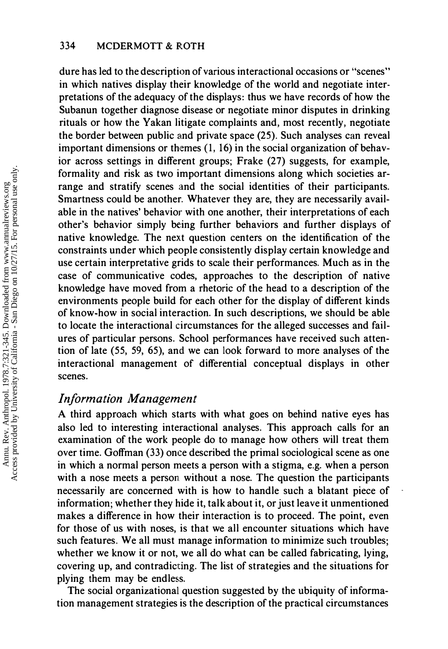dure has led to the description of various interactional occasions or "scenes" in which natives display their knowledge of the world and negotiate interpretations of the adequacy of the displays: thus we have records of how the Subanun together diagnose disease or negotiate minor disputes in drinking rituals or how the Yakan litigate complaints and, most recently, negotiate the border between public and private space (25). Such analyses can reveal important dimensions or themes  $(1, 16)$  in the social organization of behavior across settings in different groups; Frake (27) suggests, for example, formality and risk as two important dimensions along which societies arrange and stratify scenes and the social identities of their participants. Smartness could be another. Whatever they are, they are necessarily available in the natives' behavior with one another, their interpretations of each other's behavior simply being further behaviors and further displays of native knowledge. The next question centers on the identification of the constraints under which people consistently display certain knowledge and use certain interpretative grids to scale their performances. Much as in the case of communicative codes, approaches to the description of native knowledge have moved from a rhetoric of the head to a description of the environments people build for each other for the display of different kinds of know-how in social interaction. In such descriptions, we should be able to locate the interactional circumstances for the alleged successes and failures of particular persons. School performances have received such attention of late (55, 59, 65), and we can look forward to more analyses of the interactional management of differential conceptual displays in other scenes.

#### Information Management

A third approach which starts with what goes on behind native eyes has also led to interesting interactional analyses. This approach calls for an examination of the work people do to manage how others will treat them over time. Goffman (33) once described the primal sociological scene as one in which a normal person meets a person with a stigma, e.g. when a person with a nose meets a person without a nose. The question the participants necessarily are concerned with is how to handle such a blatant piece of information; whether they hide it, talk about it, or just leave it unmentioned makes a difference in how their interaction is to proceed. The point, even for those of us with noses, is that we all encounter situations which have such features. We all must manage information to minimize such troubles; whether we know it or not, we all do what can be called fabricating, lying, covering up, and contradicting. The list of strategies and the situations for plying them may be endless.

The social organizational question suggested by the ubiquity of information management strategies is the description of the practical circumstances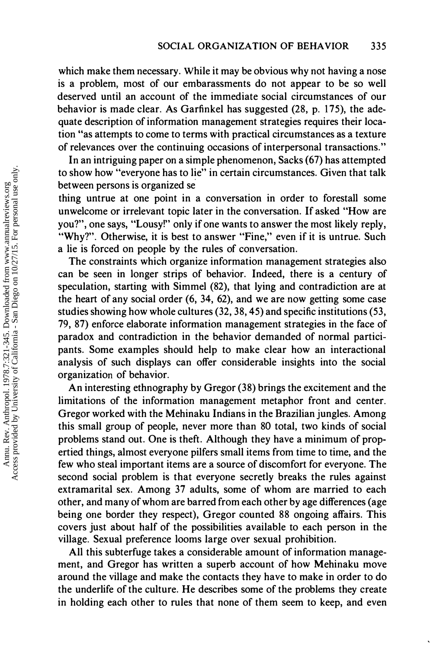which make them necessary. While it may be obvious why not having a nose is a problem, most of our embarassments do not appear to be so well deserved until an account of the immediate social circumstances of our behavior is made clear. As Garfinkel has suggested (28, p. 175), the adequate description of information management strategies requires their location "as attempts to come to terms with practical circumstances as a texture of relevances over the continuing occasions of interpersonal transactions."

In an intriguing paper on a simple phenomenon, Sacks (67) has attempted to show how "everyone has to lie" in certain circumstances. Given that talk between persons is organized se

thing untrue at one point in a conversation in order to forestall some unwelcome or irrelevant topic later in the conversation. If asked "How are you?", one says, "Lousy!" only if one wants to answer the most likely reply, "Why?". Otherwise, it is best to answer "Fine," even if it is untrue. Such a lie is forced on people by the rules of conversation.

The constraints which organize information management strategies also can be seen in longer strips of behavior. Indeed, there is a century of speculation, starting with Simmel (82), that lying and contradiction are at the heart of any social order (6, 34, 62), and we are now getting some case studies showing how whole cultures (32, 38, 45) and specific institutions (53, 79, 87) enforce elaborate information management strategies in the face of paradox and contradiction in the behavior demanded of normal participants. Some examples should help to make clear how an interactional analysis of such displays can offer considerable insights into the social organization of behavior.

An interesting ethnography by Gregor (38) brings the excitement and the limitations of the information management metaphor front and center. Gregor worked with the Mehinaku Indians in the Brazilian jungles. Among this small group of people, never more than 80 total, two kinds of social problems stand out. One is theft. Although they have a minimum of propertied things, almost everyone pilfers small items from time to time, and the few who steal important items are a source of discomfort for everyone. The second social problem is that everyone secretly breaks the rules against extramarital sex. Among 37 adults, some of whom are married to each other, and many of whom are barred from each other by age differences (age being one border they respect), Gregor counted 88 ongoing affairs. This covers just about half of the possibilities available to each person in the village. Sexual preference looms large over sexual prohibition.

All this subterfuge takes a considerable amount of information management, and Gregor has written a superb account of how Mehinaku move around the village and make the contacts they have to make in order to do the underlife of the culture. He describes some of the problems they create in holding each other to rules that none of them seem to keep, and even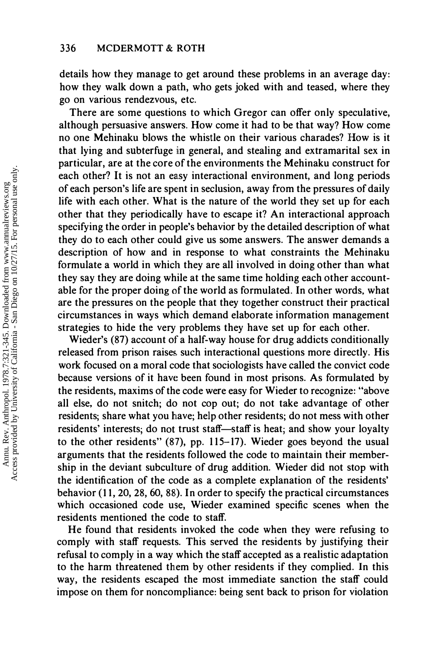details how they manage to get around these problems in an average day: how they walk down a path, who gets joked with and teased, where they go on various rendezvous, etc.

There are some questions to which Gregor can offer only speculative, although persuasive answers. How come it had to be that way? How come no one Mehinaku blows the whistle on their various charades? How is it that lying and subterfuge in general, and stealing and extramarital sex in particular, are at the core of the environments the Mehinaku construct for each other? It is not an easy interactional environment, and long periods of each person's life are spent in seclusion, away from the pressures of daily life with each other. What is the nature of the world they set up for each other that they periodically have to escape it? An interactional approach specifying the order in people's behavior by the detailed description of what they do to each other could give us some answers. The answer demands a description of how and in response to what constraints the Mehinaku formulate a world in which they are all involved in doing other than what they say they are doing while at the same time holding each other accountable for the proper doing of the world as formulated. In other words. what are the pressures on the people that they together construct their practical circumstances in ways which demand elaborate information management strategies to hide the very problems they have set up for each other.

Wieder's (87) account of a half-way house for drug addicts conditionally released from prison raises, such interactional questions more directly. His work focused on a moral code that sociologists have called the convict code because versions of it have been found in most prisons. As formulated by the residents, maxims of the code were easy for Wieder to recognize: "above all else. do not snitch; do not cop out; do not take advantage of other residents; share what you have; help other residents; do not mess with other residents' interests; do not trust staff-staff is heat; and show your loyalty to the other residents" (87), pp. 115-17). Wieder goes beyond the usual arguments that the residents followed the code to maintain their membership in the deviant subculture of drug addition. Wieder did not stop with the identification of the code as a complete explanation of the residents' behavior (11,20,28,60,88). In order to specify the practical circumstances which occasioned code use, Wieder examined specific scenes when the residents mentioned the code to staff.

He found that residents invoked the code when they were refusing to comply with staff requests. This served the residents by justifying their refusal to comply in a way which the staff accepted as a realistic adaptation to the harm threatened them by other residents if they complied. In this way, the residents escaped the most immediate sanction the staff could impose on them for noncompliance: being sent back to prison for violation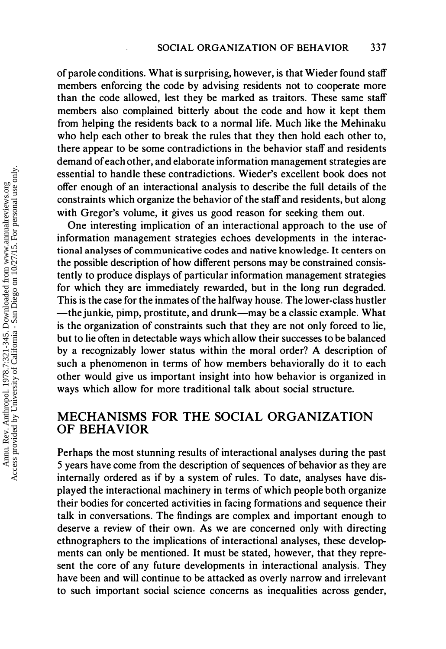of parole conditions. What is surprising, however, is that Wieder found staff members enforcing the code by advising residents not to cooperate more than the code allowed, lest they be marked as traitors. These same staff members also complained bitterly about the code and how it kept them from helping the residents back to a normal life. Much like the Mehinaku who help each other to break the rules that they then hold each other to, there appear to be some contradictions in the behavior staff and residents demand of each other, and elaborate information management strategies are essential to handle these contradictions. Wieder's excellent book does not offer enough of an interactional analysis to describe the full details of the constraints which organize the behavior of the staff and residents, but along with Gregor's volume, it gives us good reason for seeking them out.

One interesting implication of an interactional approach to the use of information management strategies echoes developments in the interactional analyses of communicative codes and native knowledge. It centers on the possible description of how different persons may be constrained consistently to produce displays of particular information management strategies for which they are immediately rewarded, but in the long run degraded. This is the case for the inmates of the halfway house. The lower-class hustler —the junkie, pimp, prostitute, and drunk—may be a classic example. What is the organization of constraints such that they are not only forced to lie, but to lie often in detectable ways which allow their successes to be balanced by a recognizably lower status within the moral order? A description of such a phenomenon in terms of how members behaviorally do it to each other would give us important insight into how behavior is organized in ways which allow for more traditional talk about social structure.

#### MECHANISMS FOR THE SOCIAL ORGANIZATION OF BEHAVIOR

Perhaps the most stunning results of interactional analyses during the past 5 years have come from the description of sequences of behavior as they are internaIly ordered as if by a system of rules. To date, analyses have displayed the interactional machinery in terms of which people both organize their bodies for concerted activities in facing formations and sequence their talk in conversations. The findings are complex and important enough to deserve a review of their own. As we are concerned only with directing ethnographers to the implications of interactional analyses, these developments can only be mentioned. It must be stated, however, that they represent the core of any future developments in interactional analysis. They have been and will continue to be attacked as overly narrow and irrelevant to such important social science concerns as inequalities across gender,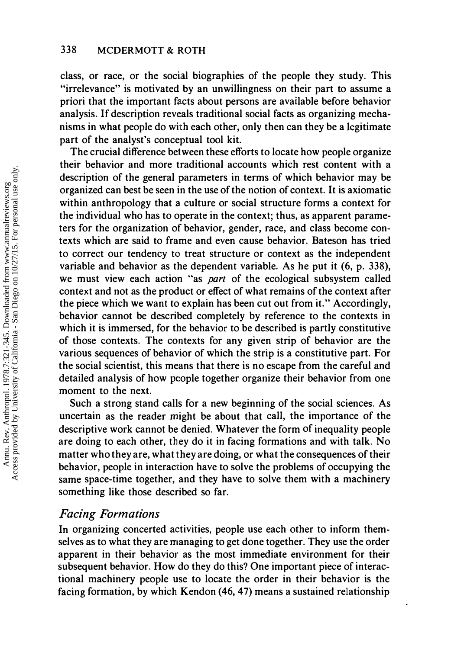class, or race, or the social biographies of the people they study. This "irrelevance" is motivated by an unwillingness on their part to assume a priori that the important facts about persons are available before behavior analysis. If description reveals traditional social facts as organizing mechanisms in what people do with each other, only then can they be a legitimate part of the analyst's conceptual tool kit.

The crucial difference between these efforts to locate how people organize their behavior and more traditional accounts which rest content with a description of the general parameters in terms of which behavior may be organized can best be seen in the use of the notion of context. It is axiomatic within anthropology that a culture or social structure forms a context for the individual who has to operate in the context; thus, as apparent parameters for the organization of behavior, gender, race, and class become contexts which are said to frame and even cause behavior. Bateson has tried to correct our tendency to treat structure or context as the independent variable and behavior as the dependent variable. As he put it (6, p. 338), we must view each action "as *part* of the ecological subsystem called context and not as the product or effect of what remains of the context after the piece which we want to explain has been cut out from it." Accordingly, behavior cannot be described completely by reference to the contexts in which it is immersed, for the behavior to be described is partly constitutive of those contexts. The contexts for any given strip of behavior are the various sequences of behavior of which the strip is a constitutive part. For the social scientist, this means that there is no escape from the careful and detailed analysis of how people together organize their behavior from one moment to the next.

Such a strong stand calls for a new beginning of the social sciences. As uncertain as the reader might be about that call, the importance of the descriptive work cannot be denied. Whatever the form of inequality people are doing to each other, they do it in facing formations and with talk. No matter who they are, what they are doing, or what the consequences of their behavior, people in interaction have to solve the problems of occupying the same space-time together, and they have to solve them with a machinery something like those described so far.

#### Facing Formations

In organizing concerted aetivities, people use each other to inform themselves as to what they are managing to get done together. They use the order apparent in their behavior as the most immediate environment for their subsequent behavior. How do they do this? One important piece of interactional machinery people use to locate the order in their behavior is the facing formation, by which Kendon (46, 47) means a sustained relationship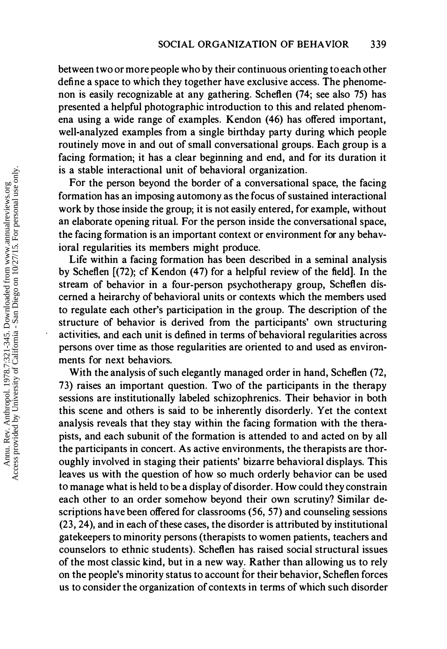between two or more people who by their continuous orienting to each other define a space to which they together have exclusive access. The phenomenon is easily recognizable at any gathering. Scheften (74; see also 75) has presented a helpful photographic introduction to this and related phenomena using a wide range of examples. Kendon (46) has offered important, well-analyzed examples from a single birthday party during which people routinely move in and out of small conversational groups. Each group is a facing formation; it has a clear beginning and end, and for its duration it is a stable interactional unit of behavioral organization.

For the person beyond the border of a conversational space, the facing formation has an imposing automony as the focus of sustained interactional work by those inside the group; it is not easily entered, for example, without an elaborate opening ritual. For the person inside the conversational space, the facing formation is an important context or environment for any behavioral regularities its members might produce.

Life within a facing formation has been described in a seminal analysis by Scheften [(72); cf Kendon (47) for a helpful review of the field]. In the stream of behavior in a four-person psychotherapy group, Scheften discerned a heirarchy of behavioral units or contexts which the members used to regulate each other's participation in the group. The description of the structure of behavior is derived from the participants' own structuring activities, and each unit is defined in terms of behavioral regularities across persons over time as those regularities are oriented to and used as environments for next behaviors.

With the analysis of such elegantly managed order in hand, Scheflen (72, 73) raises an important question. Two of the participants in the therapy sessions are institutionally labeled schizophrenics. Their behavior in both this scene and others is said to be inherently disorderly. Yet the context analysis reveals that they stay within the facing formation with the therapists, and each subunit of the formation is attended to and acted on by all the participants in concert. As active environments, the therapists are thoroughly involved in staging their patients' bizarre behavioral displays. This leaves us with the question of how so much orderly behavior can be used to manage what is held to be a display of disorder. How could they constrain each other to an order somehow beyond their own scrutiny? Similar descriptions have been offered for classrooms (56, 57) and counseling sessions (23, 24), and in each of these cases, the disorder is attributed by institutional gatekeepers to minority persons (therapists to women patients, teachers and counselors to ethnic students). Scheften has raised social structural issues of the most classic kind, but in a new way. Rather than allowing us to rely on the people's minority status to account for their behavior, Scheflen forces us to consider the organization of contexts in terms of which such disorder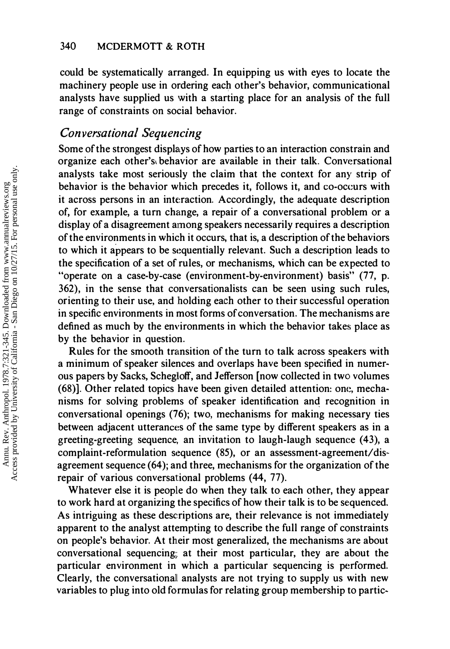could be systematically arranged. In equipping us with eyes to locate the machinery people use in ordering each other's behavior, communicational analysts have supplied us with a starting place for an analysis of the full range of constraints on social behavior.

#### Conversational Sequencing

Some of the strongest displa�ys of how parties to an interaction constrain and organize each other's behavior are available in their talk. Conversational analysts take most seriously the claim that the context for any strip of behavior is the behavior which precedes it, follows it, and co-occurs with it across persons in an inte:raction. Accordingly, the adequate description of, for example, a turn change, a repair of a conversational problem or a display of a disagreement among speakers necessarily requires a description of the environments in which it occurs, that is, a description of the behaviors to which it appears to be sequentially relevant. Such a description leads to the specification of a set of rules, or mechanisms, which can be expected to "operate on a case-by-case (environment-by-environment) basis" (77, p. 362), in the sense that conversationalists can be seen using such rules, orienting to their use, and holding each other to their successful operation in specific environments in most forms of conversation. The mechanisms are defined as much by the environments in which the behavior takes place as by the behavior in question.

Rules for the smooth transition of the turn to talk across speakers with a minimum of speaker silences and overlaps have been specified in numerous papers by Sacks, Schegloff, and Jefferson [now collected in two volumes (68)]. Other related topics have been given detailed attention: one, mechanisms for solving problems of speaker identification and recognition in conversational openings (76); two, mechanisms for making necessary ties between adjacent utterances of the same type by different speakers as in a greeting-greeting sequence. an invitation to laugh-laugh sequenee (43), a complaint-reformulation sequence (85), or an assessment-agreement/disagreement sequence (64); and three, mechanisms for the organization of the repair of various conversational problems (44, 77).

Whatever else it is people do when they talk to each other, they appear to work hard at organizing the specifics of how their talk is to be sequenced. As intriguing as these descriptions are, their relevance is not immediately apparent to the analyst attempting to describe the full range of constraints on people's behavior. At their most generalized, the mechanisms are about conversational sequencing:: at their most particular, they are about the particular environment in which a particular sequencing is performed. Clearly, the conversational analysts are not trying to supply us with new variables to plug into old formulas for relating group membership to partic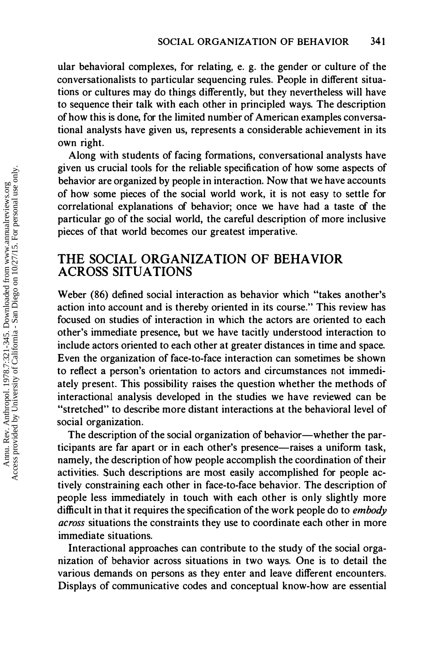ular behavioral complexes, for relating, e. g. the gender or culture of the conversationalists to particular sequencing rules. People in different situations or cultures may do things differently, but they nevertheless will have to sequence their talk with each other in principled ways. The description of how this is done, for the limited number of American examples conversational analysts have given us, represents a considerable achievement in its own right.

Along with students of facing formations, conversational analysts have given us crucial tools for the reliable specification of how some aspects of behavior are organized by people in interaction. Now that we have accounts of how some pieces of the social world work, it is not easy to settle for correlational explanations of behavior; once we have had a taste of the particular go of the social world, the careful description of more inclusive pieces of that world becomes our greatest imperative.

#### THE SOCIAL ORGANIZATION OF BEHAVIOR ACROSS SITUATIONS

Weber (86) defined social interaction as behavior which "takes another's action into account and is thereby oriented in its course." This review has focused on studies of interaction in which the actors are oriented to each other's immediate presence, but we have tacitly understood interaction to include actors oriented to each other at greater distances in time and space. Even the organization of face-to-face interaction can sometimes be shown to reflect a person's orientation to actors and circumstances not immediately present. This possibility raises the question whether the methods of interactional analysis developed in the studies we have reviewed can be "stretched" to describe more distant interactions at the behavioral level of social organization.

The description of the social organization of behavior-whether the participants are far apart or in each other's presence—raises a uniform task, namely, the description of how people accomplish the coordination of their activities. Such descriptions are most easily accomplished for people actively constraining each other in face-to-face behavior. The description of people less immediately in touch with each other is only slightly more difficult in that it requires the specification of the work people do to *embody* across situations the constraints they use to coordinate each other in more immediate situations.

Interactional approaches can contribute to the study of the social organization of behavior across situations in two ways. One is to detail the various demands on persons as they enter and leave different encounters. Displays of communicative codes and conceptual know-how are essential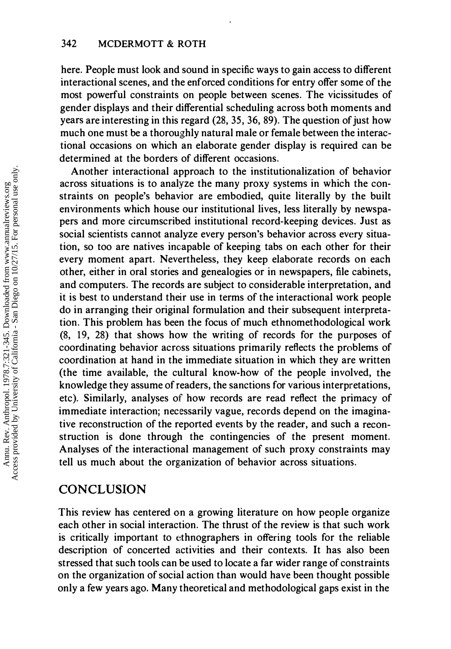here. People must look and sound in specific ways to gain access to different interactional scenes, and the enforced conditions for entry offer some of the most powerful constraints on people between scenes. The vicissitudes of gender displays and their differential scheduling across both moments and years are interesting in this regard (28, 35, 36, 89). The question of just how much one must be a thoroughly natural male or female between the interactional occasions on which an elaborate gender display is required can be determined at the borders of different occasions.

Another interactional approach to the institutionalization of behavior across situations is to analyze the many proxy systems in which the constraints on people's behavior are embodied, quite literally by the built environments which house our institutional lives, less literally by newspapers and more circumscribed institutional record-keeping devices. Just as social scientists cannot analyze every person's behavior across every situation, so too are natives incapable of keeping tabs on each other for their every moment apart. Nevertheless, they keep elaborate records on each other, either in oral stories and genealogies or in newspapers, file cabinets, and computers. The records are subject to considerable interpretation, and it is best to understand their use in terms of the interactional work people do in arranging their original formulation and their subsequent interpretation. This problem has been the focus of much ethnomethodological work (8, 19, 28) that shows how the writing of records for the purposes of coordinating behavior across situations primarily reflects the problems of coordination at hand in the immediate situation in which they are written (the time available, the cultural know-how of the people involved, the knowledge they assume of readers, the sanctions for various interpretations, etc). Similarly, analyses of how records are read reflect the primacy of immediate interaction; necessarily vague, records depend on the imaginative reconstruction of the reported events by the reader, and such a reconstruction is done through the contingencies of the present moment. Analyses of the interactional management of such proxy constraints may tell us much about the organization of behavior across situations.

#### CONCLUSION

This review has centered on a growing literature on how people organize each other in social interaction. The thrust of the review is that such work is critically important to ethnographers in offering tools for the reliable description of concerted activities and their contexts. It has also been stressed that such tools can be used to locate a far wider range of constraints on the organization of social action than would have been thought possible only a few years ago. Many theoretical and methodological gaps exist in the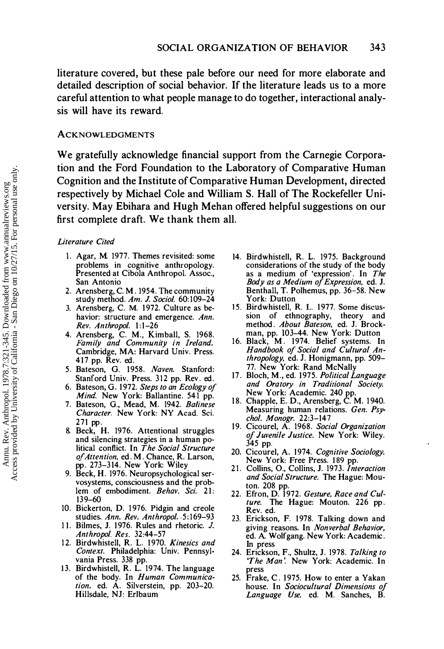literature covered, but these pale before our need for more elaborate and detailed description of social behavior. If the literature leads us to a more careful attention to what people manage to do together, interactional analysis will have its reward.

#### **ACKNOWLEDGMENTS**

We gratefully acknowledge financial support from the Carnegie Corporation and the Ford Foundation to the Laboratory of Comparative Human Cognition and the Institute of Comparative Human Development, directed respectively by Michael Cole and William S. Hall of The Rockefeller University. May Ebihara and Hugh Mehan offered helpful suggestions on our first complete draft. We thank them all.

#### Literature Cited

- 1. Agar, M. 1977. Themes revisited: some problems in cognitive anthropology. Presented at Cibola Anthropol. Assoc., San Antonio
- 2. Arensberg, C. M. 1954. The community study method. Am. J. Sociol. 60:109-24
- 3. Arensberg, C. M. 1972. Culture as behavior: structure and emergence. Ann. Rev. Anthropol. 1 :1-26
- 4. Arensberg, C. M., Kimball, S. 1968. Family and Community in Ireland. Cambridge, MA: Harvard Univ. Press. 417 pp. Rev. ed.
- 5. Bateson, G. 1958. Naven. Stanford: Stanford Univ. Press. 312 pp. Rev. ed.
- 6. Bateson, G. 1972. Steps to an Ecology of Mind. New York: Ballantine. 541 pp.
- 7. Bateson, G., Mead, M. 1942. Balinese Character, New York: NY Acad, Sci. 271 pp.
- 8. Beck, H. 1976. Attentional struggles and silencing strategies in a human political conflict. In  $\overline{T}$ he Social Structure of Attention. ed. M. Chance, R. Larson, pp. 273-3 14. New York: Wiley
- 9. Beck, H. 1976. Neuropsychological servosystems, consciousness and the problem of embodiment. Behav. Sci. 21: 139-60
- 10. Bickerton, D. 1976. Pidgin and creole studies. Ann. Rev. Anthropol. 5:169-93
- 11. Bilmes, J. 1976. Rules and rhetoric. J. Anthropol, Res. 32:44-57
- 12. Birdwhistell, R. L. 1970. Kinesics and Context. Philadelphia: Univ. Pennsylvania Press. 338 pp.
- 13. Birdwhistell, R. L. 1974. The language of the body. In Human Communication. ed. A. Silverstein, pp. 203-20. Hillsdale. NJ: Erlbaum
- 14. Birdwhistell, R. L. 1975. Background considerations of the study of the body as a medium of 'expression'. In The Body as a Medium of Expression. ed. J. Benthall, T. Polhemus, pp. 36-58. New York: Dutton
- 15. Birdwhistell, R. L. 1977. Some discussion of ethnography, theory and<br>method. About Bateson, ed. J. Brockman, pp. 103-44. New York: Dutton
- 16. Black, M. 1974. Belief systems. In Handbook of Social and Cultural Anthropology. ed. J. Honigmann, pp. 509- 77. New York: Rand McNally
- 17. Bloch, M., ed. 1975. Political Language and Oratory in Traditional Society. New York: Academic. 240 pp.
- 18. Chapple, E. D., Arensberg, C. M. 1940. Measuring human relations. Gen. Psychol. Monogr. 22:3-147
- 19. Cicourel, A. 1968. Social Organization of Juvenile Justice. New York: Wiley. 345 pp,
- 20. Cicourel, A. 1974. Cognitive Sociology. New York: Free Press. 189 pp.
- 21. Collins, 0., Collins, J. 1973. Interaction and Social Structure. The Hague: Mouton. 208 pp.
- 22. Efron, D. 1972. Gesture, Race and Culture. The Hague: Mouton. 226 pp. Rev. ed.
- 23. Erickson, F. 1978. Talking down and giving reasons. In Nonverbal Behavior, ed. A. Wolfgang. New York: Academic. In press
- 24. Erickson, F., Shultz, J. 1978. Talking to 'The Man'. New York: Academic. In press
- 25. Frake, C. 1975. How to enter a Yakan house. In Sociocultural Dimensions of Language Use. ed. M. Sanches, B.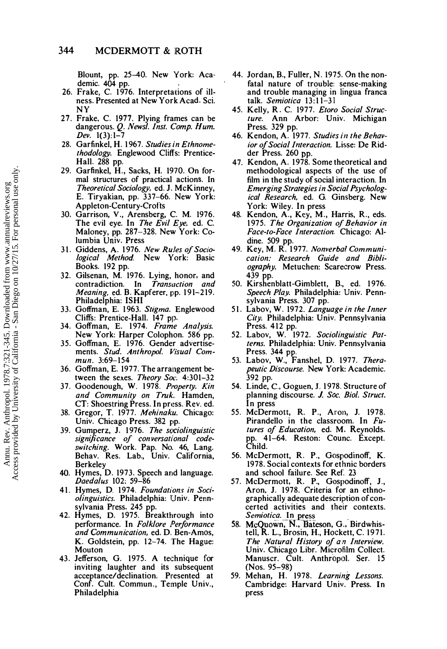Blount, pp. 25-40. New York: Academic. 404 pp.

- 26. Frake, C. 1976. Interpretations of illness. Presented at New York Acad. Sci. NY
- 27. Frake, C. 1977. Plying frames can be dangerous. Q. *Newsl. 1nst. Comp. Hum.*<br>Dev.  $1(3):$ 1–7
- 28. Garfinkel, H. 1967. Studies in Ethnomethodology. Englewood Cliffs: Prentice-Hall. 288 pp.
- 29. Garfinkel, H., Sacks, H. 1970. On formal structures of practical actions. In Theoretical Sociology, ed. J. McKinney, E. Tiryakian, pp. 337-66. New York: Appleton-Century-Crofts
- 30. Garrison, V., Arensberg, C. M. 1976. The evil eye. In The Evil Eye, ed. C. Maloney, pp. 287-328. New York: Columbia Univ. Press
- 31. Giddens, A. 1976. New Rules of Sociological Method. New York: Basic Books. 192 pp.
- 32. Gilsenan, M. 1976. Lying, honor, and<br>contradiction. In Transaction and In Transaction and Meaning, ed. B. Kapferer, pp. 191-219. Philadelphia: ISHI
- 33. Goffman, E. 1963. Stigma. Englewood Cliffs: Prentice-Hall. 147 pp.
- Goffman, E. 1974. Frame Analysis. New York: Harper Colophon. 586 pp.
- 35. Goffman, E. 1976. Gender advertisements. Stud. Anthropol. Visual Commun. 3:69-154
- 36. Goffman, E. 1977. The arrangement between the sexes. Theory Soc. 4:301-32
- 37. Goodenough, W. 1978. Property, Kin and Community on Truk. Hamden, CT: Shoestring Press. In press. Rev. ed.
- Gregor, T. 1977. Mehinaku. Chicago: Vniv. Chicago Press. 382 pp.
- 39. Gumperz, J. 1976. The sociolinguistic significance of conversational codeswitching. Work. Pap. No. 46, Lang. Behav. Res. Lab., Vniv. California, Berkeley
- 40. Hymes, D. 1973. Speech and language. Daedalus 102: 59-86
- 41. Hymes, D. 1974. Foundations in Sociolinguistics. Philadelphia: Univ. Pennsylvania Press. 245 pp.
- 42. Hymes, D. 1975. Breakthrough into performance. In Folklore Performance and Communication, ed. D. Ben-Amos, K. Goldstein, pp. 12-74. The Hague: Mouton
- 43. Jefferson, G. 1975. A technique for inviting laughter and its subsequent acceptance/declination. Presented at Conf. Cult. Commun., Temple Vniv., Philadelphia
- 44. Jordan, B., Fuller, N. 1975. On the nonfatal nature of trouble: sense-making and trouble managing in lingua franca talk. Semiotica 13:11-31
- 45. Kelly, R. C. 1977. Etoro Social Structure. Ann Arbor: Vniv. Michigan Press. 329 pp.
- 46. Kendon, A. 1977. Studies in the Behavior of Social Interaction. Lisse: De Ridder Press. 260 pp.
- 47. Kendon, A. 1978. Some theoretical and methodological aspects of the use of film in the study of social interaction. In Emerging Strategies in Social Psychological Research. ed. G. Ginsberg. New York: Wiley. In press
- 48. Kendon, A., Key, M., Harris, R., eds. 1975. The Organization of Behavior in Face-to-Face Interaction. Chicago: AIdine. 509 pp.
- 49. Key, M. R. 1977. Nonverbal Communication: Research Guide and Bibliography. Metuchen: Scarecrow Press. 439 pp.
- SO. Kirshenblatt-Gimblett, B., ed. 1 976. Speech Play. Philadelphia: Vniv. Pennsylvania Press. 307 pp.
- 51. Labov, W. 1972. Language in the Inner City. Philadelphia: Vniv, Pennsylvania Press. 412 pp.
- 52. Labov, W. 1972. Sociolinguistic Patterns. Philadelphia: Vniv. Pennsylvania Press. 344 pp.
- 53. Labov, W., Fanshel, D. 1977. Therapeutic Discourse. New York: Academic. 392 pp.
- 54. Linde, C., Goguen, J. 1978. Structure of planning discourse. J. Soc. Biol. Struct. In press
- 55. McDermott, R. P., Aron, J. 1978. Pirandello in the classroom. In Futures of Education, ed. M. Reynolds. 41-64. Reston: Counc. Except. pp. 4<br>Child.
- 56. McDermott, R. P., Gospodinoff, K. 1978. Social contexts for ethnic borders and school failure. See Ref. 23
- 57. McDermott. R. P., Gospodinoff, J., Aron, J. 1978. Criteria for an ethnographically adequate description of concerted activities and their contexts.
- Semiotica. In press<br>58. McQuown, N., Bateson, G., Birdwhistell, R. L., Brosin, H., Hockett, C. 1971. The Natural History of an Interview. Vniv. Chicago Libr. Microfilm Collect. Manuscr. Cult. Anthropol. Ser. IS (Nos. 95-98)
- 59. Mehan, H. 1978. Learning Lessons. Cambridge: Harvard Vniv. Press. In press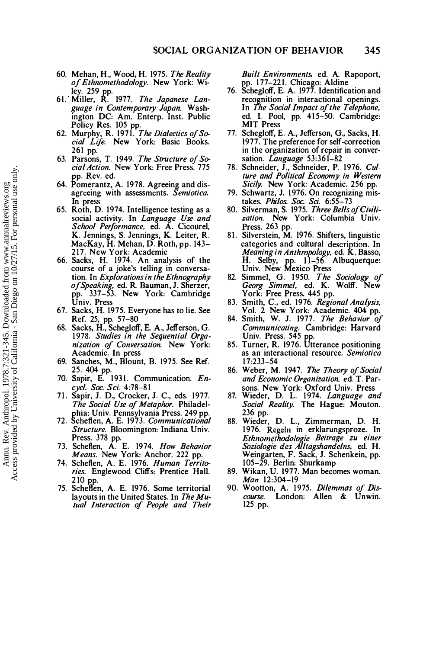- 60. Mehan, H., Wood, H. 1975. The Reality of Ethnomethodology. New York: Wiley. 259 pp.<br>61. Miller, R.
- 1977. The Japanese Language in Contemporary Japan. Washington DC: Am. Enterp. Inst. Public Policy Res. 105 pp.
- 62. Murphy, R. 1971. The Dialectics of Social Life. New York: Basic Books. 261 pp.
- 63. Parsons, T. 1949. The Structure of Social Action. New York: Free Press. 775 pp. Rev. ed.
- 64. Pomerantz, A. 1978. Agreeing and disagreeing with assessments. Semiotica. In press
- 65. Roth, D. 1974. Intelligence testing as a social activity. In Language Use and School Performance, ed. A. Cicourel, K. Jennings, S. lennings, K. Leiter, R. MacKay, H. Mehan, D. Roth, pp. 143- 217. New York: Academic
- 66. Sacks, H. 1974. An analysis of the course of a joke's telling in conversation. In Explorations in the Ethnography of Speaking, ed. R. Bauman, J. Sherzer, 337-53. New York: Cambridge pp. 337-53<br>Univ. Press
- 67. Sacks, H. 1975. Everyone has to lie. See
- Ref. 25, pp. 57-80 68. Sacks, H., Schegloff, E. A., Jefferson, G. 1 978. Studies in the Sequential Organization of Conversation. New York: Academic. In press
- 69. Sanches, M., Blount, B. 1975. See Ref. 25. 404 pp.
- 70. Sapir, E. 1931. Communication. Encycl. Soc. Sci. 4:78-81
- 7J. Sapir, 1. D., Crocker, 1. C., eds. 1977. The Social Use of Metaphor. Philadelphia: Univ. Pennsylvania Press. 249 pp.
- 72. Scheften, A. E. 1973. Communicational Structure. Bloomington: Indiana Univ.
- Press. 378 pp.<br>73. Scheflen, A. E. 1974. *How Behavior* Means. New York: Anchor. 222 pp.
- 74. Scheften, A. E. 1976. Human Territories. Englewood Cliffs: Prentice Hall. 2 10 pp.
- 75. Scheften, A. E. 1976. Some territorial layouts in the United States. In The Mutual Interaction of People and Their

Built Environments, ed. A. Rapoport,

- pp. 1 77-221. Chicago: Aldine 76. Schegloff, E. A. 1977. Identification and recognition in interactional openings. In The Social Impact of the Telephone, ed. I. Pool, pp. 415-50. Cambridge: MIT Press
- 77. Schegloff, E. A., Jefferson, G., Sacks, H. 1977. The preference for self-correction in the organization of repair in conversation. Language 53:361-82
- 78. Schneider, J., Schneider, P. 1976. Culture and Political Economy in Western Sicily. New York: Academic. 256 pp.
- 79. Schwartz, J. 1976. On recognizing mistakes. Philos. Soc. Sci. 6:55-73
- 80. Silverman, S. 1975. Three Bells of Civili-<br>zation. New York: Columbia Univ. New York: Columbia Univ. Press. 263 pp.
- 81. Silverstein, M. 1976. Shifters, linguistic categories and cultural description. In *Meaning in Anthropology, ed. K. Basso,* H. Selby, pp. 11–56. Albuquerque:<br>Univ. New Mexico Press **11-56.**
- 82. Simmel, G. 1950. The Sociology of Georg Simmel, ed. K. Wolff. New Georg Simmel, ed. K. York: Free Press. 445 pp.
- 83. Smith, C., ed. 1976. Regional Analysis,
- Vol. 2. New York: Academic. 404 pp.<br>84. Smith, W. J. 1977. The Behavior of Communicating. Cambridge: Harvard Univ. Press. 545 pp.
- 85. Turner, R. 1976. Utterance positioning as an interactional resource. Semiotica 1 7:233-54
- 86. Weber, M. 1947. The Theory of Social and Economic Organization. ed. T. Parsons. New York: Oxford Univ. Press
- Wieder, D. L. 1974. Language and Social Reality. The Hague: Mouton. 236 pp.
- 88. Wieder, D. L., Zimmerman, D. H. 1976. Regeln in erklarungsproze. In Beitrage zu einer *Ethnomethodologie* Soziologie des Alltagshandelns, ed. H. Weingarten, F. Sack, J. Schenkein, pp. 1 05-29. Berlin: Shurkamp
- 89. Wikan, U. 1977. Man becomes woman. Man 12:304-19
- 90. Wootton, A. 1975. Dilemmas of Discourse. London: Allen & Unwin. 125 pp.